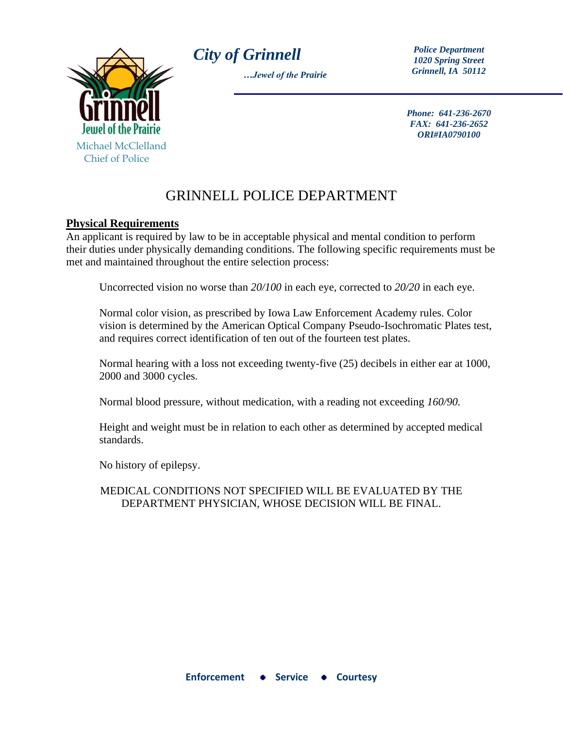

*City of Grinnell Police Department*

*…Jewel of the Prairie*

*1020 Spring Street Grinnell, IA 50112*

*Phone: 641-236-2670 FAX: 641-236-2652 ORI#IA0790100*

# GRINNELL POLICE DEPARTMENT

#### **Physical Requirements**

An applicant is required by law to be in acceptable physical and mental condition to perform their duties under physically demanding conditions. The following specific requirements must be met and maintained throughout the entire selection process:

Uncorrected vision no worse than *20/100* in each eye, corrected to *20/20* in each eye.

Normal color vision, as prescribed by Iowa Law Enforcement Academy rules. Color vision is determined by the American Optical Company Pseudo-Isochromatic Plates test, and requires correct identification of ten out of the fourteen test plates.

Normal hearing with a loss not exceeding twenty-five (25) decibels in either ear at 1000, 2000 and 3000 cycles.

Normal blood pressure, without medication, with a reading not exceeding *160/90.*

Height and weight must be in relation to each other as determined by accepted medical standards.

No history of epilepsy.

#### MEDICAL CONDITIONS NOT SPECIFIED WILL BE EVALUATED BY THE DEPARTMENT PHYSICIAN, WHOSE DECISION WILL BE FINAL.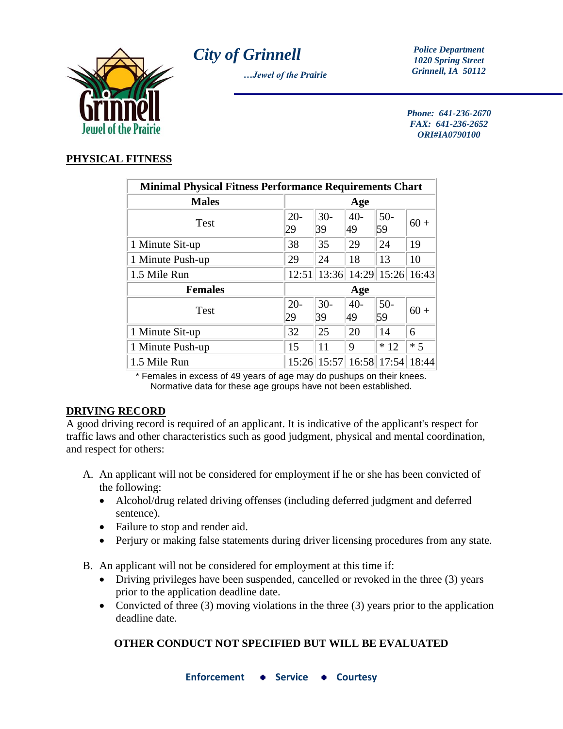*City of Grinnell Police Department*



*…Jewel of the Prairie*

*1020 Spring Street Grinnell, IA 50112*

*Phone: 641-236-2670 FAX: 641-236-2652 ORI#IA0790100*

## **PHYSICAL FITNESS**

| <b>Minimal Physical Fitness Performance Requirements Chart</b> |              |             |             |             |               |
|----------------------------------------------------------------|--------------|-------------|-------------|-------------|---------------|
| <b>Males</b>                                                   | Age          |             |             |             |               |
| <b>Test</b>                                                    | $20-$<br>29  | $30-$<br>39 | $40-$<br>49 | $50-$<br>59 | $60 +$        |
| 1 Minute Sit-up                                                | 38           | 35          | 29          | 24          | 19            |
| 1 Minute Push-up                                               | 29           | 24          | 18          | 13          | 10            |
| 1.5 Mile Run                                                   | 12:51        | 13:36       | 14:29       |             | $15:26$ 16:43 |
| <b>Females</b>                                                 | Age          |             |             |             |               |
| <b>Test</b>                                                    | $20 -$<br>29 | $30-$<br>39 | $40-$<br>49 | $50-$<br>59 | $60 +$        |
| 1 Minute Sit-up                                                | 32           | 25          | 20          | 14          | 6             |
| 1 Minute Push-up                                               | 15           | 11          | 9           | $*12$       | $*5$          |
| 1.5 Mile Run                                                   | 15:26        | 15:57       | 16:58       | 17:54       | 18:44         |

\* Females in excess of 49 years of age may do pushups on their knees. Normative data for these age groups have not been established.

#### **DRIVING RECORD**

A good driving record is required of an applicant. It is indicative of the applicant's respect for traffic laws and other characteristics such as good judgment, physical and mental coordination, and respect for others:

- A. An applicant will not be considered for employment if he or she has been convicted of the following:
	- Alcohol/drug related driving offenses (including deferred judgment and deferred sentence).
	- Failure to stop and render aid.
	- Perjury or making false statements during driver licensing procedures from any state.
- B. An applicant will not be considered for employment at this time if:
	- Driving privileges have been suspended, cancelled or revoked in the three (3) years prior to the application deadline date.
	- Convicted of three  $(3)$  moving violations in the three  $(3)$  years prior to the application deadline date.

#### **OTHER CONDUCT NOT SPECIFIED BUT WILL BE EVALUATED**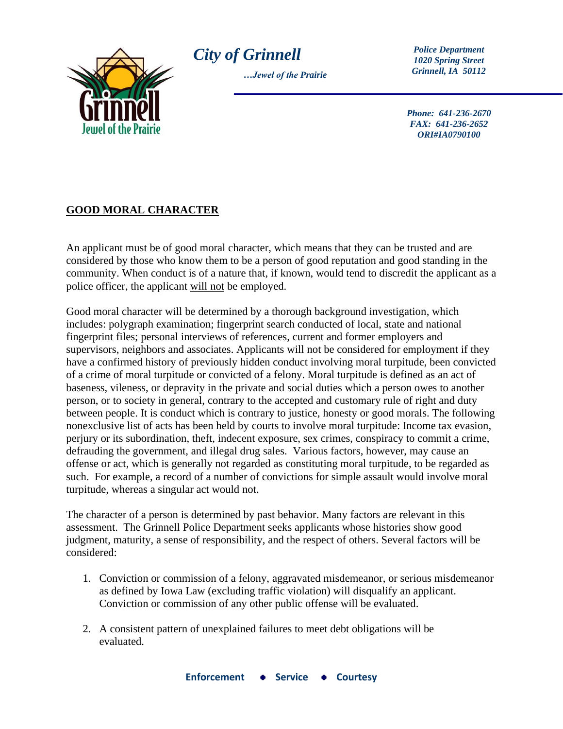

*City of Grinnell Police Department*

*…Jewel of the Prairie*

*1020 Spring Street Grinnell, IA 50112*

*Phone: 641-236-2670 FAX: 641-236-2652 ORI#IA0790100*

## **GOOD MORAL CHARACTER**

An applicant must be of good moral character, which means that they can be trusted and are considered by those who know them to be a person of good reputation and good standing in the community. When conduct is of a nature that, if known, would tend to discredit the applicant as a police officer, the applicant will not be employed.

Good moral character will be determined by a thorough background investigation, which includes: polygraph examination; fingerprint search conducted of local, state and national fingerprint files; personal interviews of references, current and former employers and supervisors, neighbors and associates. Applicants will not be considered for employment if they have a confirmed history of previously hidden conduct involving moral turpitude, been convicted of a crime of moral turpitude or convicted of a felony. Moral turpitude is defined as an act of baseness, vileness, or depravity in the private and social duties which a person owes to another person, or to society in general, contrary to the accepted and customary rule of right and duty between people. It is conduct which is contrary to justice, honesty or good morals. The following nonexclusive list of acts has been held by courts to involve moral turpitude: Income tax evasion, perjury or its subordination, theft, indecent exposure, sex crimes, conspiracy to commit a crime, defrauding the government, and illegal drug sales. Various factors, however, may cause an offense or act, which is generally not regarded as constituting moral turpitude, to be regarded as such. For example, a record of a number of convictions for simple assault would involve moral turpitude, whereas a singular act would not.

The character of a person is determined by past behavior. Many factors are relevant in this assessment. The Grinnell Police Department seeks applicants whose histories show good judgment, maturity, a sense of responsibility, and the respect of others. Several factors will be considered:

- 1. Conviction or commission of a felony, aggravated misdemeanor, or serious misdemeanor as defined by Iowa Law (excluding traffic violation) will disqualify an applicant. Conviction or commission of any other public offense will be evaluated.
- 2. A consistent pattern of unexplained failures to meet debt obligations will be evaluated.